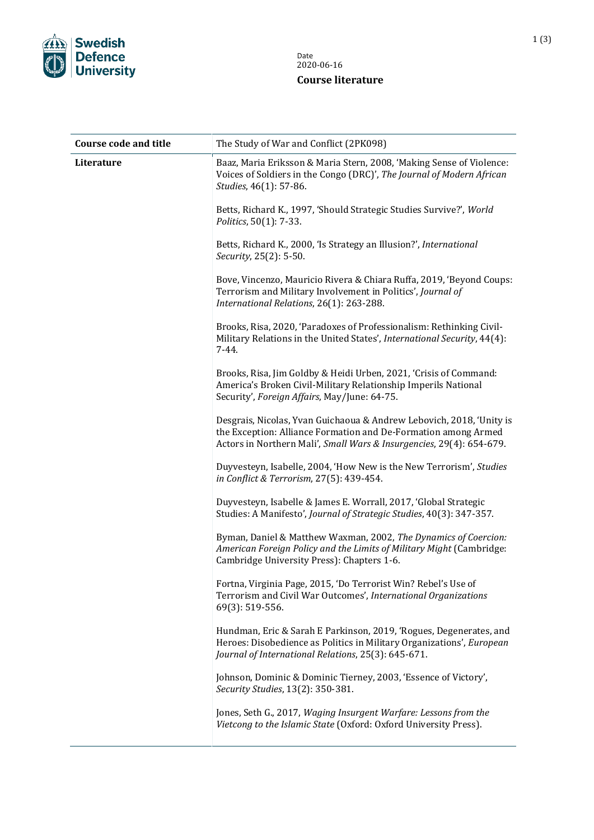

| <b>Course code and title</b> | The Study of War and Conflict (2PK098)                                                                                                                                                                         |
|------------------------------|----------------------------------------------------------------------------------------------------------------------------------------------------------------------------------------------------------------|
| Literature                   | Baaz, Maria Eriksson & Maria Stern, 2008, 'Making Sense of Violence:<br>Voices of Soldiers in the Congo (DRC)', The Journal of Modern African<br>Studies, 46(1): 57-86.                                        |
|                              | Betts, Richard K., 1997, 'Should Strategic Studies Survive?', World<br>Politics, 50(1): 7-33.                                                                                                                  |
|                              | Betts, Richard K., 2000, 'Is Strategy an Illusion?', International<br>Security, 25(2): 5-50.                                                                                                                   |
|                              | Bove, Vincenzo, Mauricio Rivera & Chiara Ruffa, 2019, 'Beyond Coups:<br>Terrorism and Military Involvement in Politics', Journal of<br>International Relations, 26(1): 263-288.                                |
|                              | Brooks, Risa, 2020, 'Paradoxes of Professionalism: Rethinking Civil-<br>Military Relations in the United States', International Security, 44(4):<br>$7 - 44.$                                                  |
|                              | Brooks, Risa, Jim Goldby & Heidi Urben, 2021, 'Crisis of Command:<br>America's Broken Civil-Military Relationship Imperils National<br>Security', Foreign Affairs, May/June: 64-75.                            |
|                              | Desgrais, Nicolas, Yvan Guichaoua & Andrew Lebovich, 2018, 'Unity is<br>the Exception: Alliance Formation and De-Formation among Armed<br>Actors in Northern Mali', Small Wars & Insurgencies, 29(4): 654-679. |
|                              | Duyvesteyn, Isabelle, 2004, 'How New is the New Terrorism', Studies<br>in Conflict & Terrorism, 27(5): 439-454.                                                                                                |
|                              | Duyvesteyn, Isabelle & James E. Worrall, 2017, 'Global Strategic<br>Studies: A Manifesto', Journal of Strategic Studies, 40(3): 347-357.                                                                       |
|                              | Byman, Daniel & Matthew Waxman, 2002, The Dynamics of Coercion:<br>American Foreign Policy and the Limits of Military Might (Cambridge:<br>Cambridge University Press): Chapters 1-6.                          |
|                              | Fortna, Virginia Page, 2015, 'Do Terrorist Win? Rebel's Use of<br>Terrorism and Civil War Outcomes', International Organizations<br>69(3): 519-556.                                                            |
|                              | Hundman, Eric & Sarah E Parkinson, 2019, 'Rogues, Degenerates, and<br>Heroes: Disobedience as Politics in Military Organizations', European<br>Journal of International Relations, 25(3): 645-671.             |
|                              | Johnson, Dominic & Dominic Tierney, 2003, 'Essence of Victory',<br>Security Studies, 13(2): 350-381.                                                                                                           |
|                              | Jones, Seth G., 2017, Waging Insurgent Warfare: Lessons from the<br>Vietcong to the Islamic State (Oxford: Oxford University Press).                                                                           |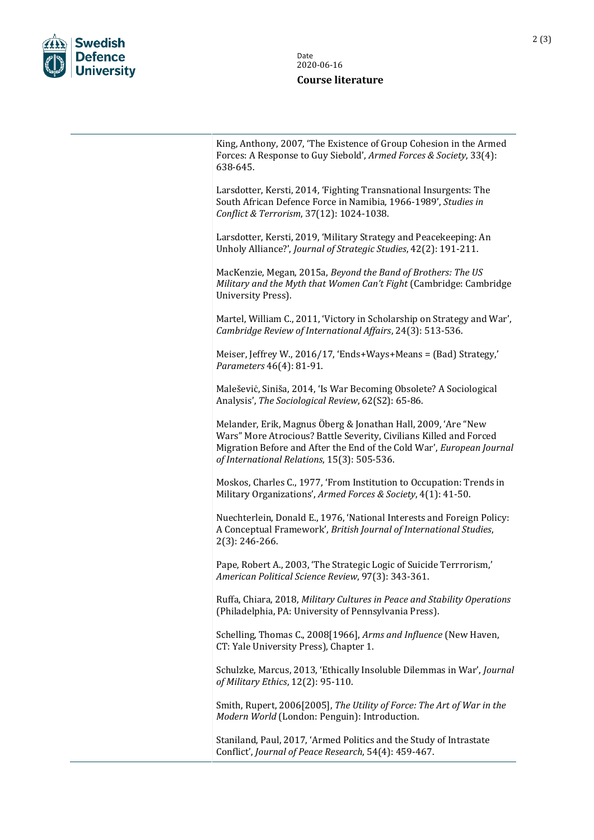

King, Anthony, 2007, 'The Existence of Group Cohesion in the Armed Forces: A Response to Guy Siebold', *Armed Forces & Society*, 33(4): 638-645.

Larsdotter, Kersti, 2014, 'Fighting Transnational Insurgents: The South African Defence Force in Namibia, 1966-1989', *Studies in Conflict & Terrorism*, 37(12): 1024-1038.

Larsdotter, Kersti, 2019, 'Military Strategy and Peacekeeping: An Unholy Alliance?', *Journal of Strategic Studies*, 42(2): 191-211.

MacKenzie, Megan, 2015a, *Beyond the Band of Brothers: The US Military and the Myth that Women Can't Fight* (Cambridge: Cambridge University Press).

Martel, William C., 2011, 'Victory in Scholarship on Strategy and War', *Cambridge Review of International Affairs*, 24(3): 513-536.

Meiser, Jeffrey W., 2016/17, 'Ends+Ways+Means = (Bad) Strategy,' *Parameters* 46(4): 81-91.

Maleševiċ, Siniša, 2014, 'Is War Becoming Obsolete? A Sociological Analysis', *The Sociological Review*, 62(S2): 65-86.

Melander, Erik, Magnus Öberg & Jonathan Hall, 2009, 'Are "New Wars" More Atrocious? Battle Severity, Civilians Killed and Forced Migration Before and After the End of the Cold War', *European Journal of International Relations*, 15(3): 505-536.

Moskos, Charles C., 1977, 'From Institution to Occupation: Trends in Military Organizations', *Armed Forces & Society*, 4(1): 41-50.

Nuechterlein, Donald E., 1976, 'National Interests and Foreign Policy: A Conceptual Framework', *British Journal of International Studies*, 2(3): 246-266.

Pape, Robert A., 2003, 'The Strategic Logic of Suicide Terrrorism,' *American Political Science Review*, 97(3): 343-361.

Ruffa, Chiara, 2018, *Military Cultures in Peace and Stability Operations* (Philadelphia, PA: University of Pennsylvania Press).

Schelling, Thomas C., 2008[1966], *Arms and Influence* (New Haven, CT: Yale University Press), Chapter 1.

Schulzke, Marcus, 2013, 'Ethically Insoluble Dilemmas in War', *Journal of Military Ethics*, 12(2): 95-110.

Smith, Rupert, 2006[2005], *The Utility of Force: The Art of War in the Modern World* (London: Penguin): Introduction.

Staniland, Paul, 2017, 'Armed Politics and the Study of Intrastate Conflict', *Journal of Peace Research*, 54(4): 459-467.